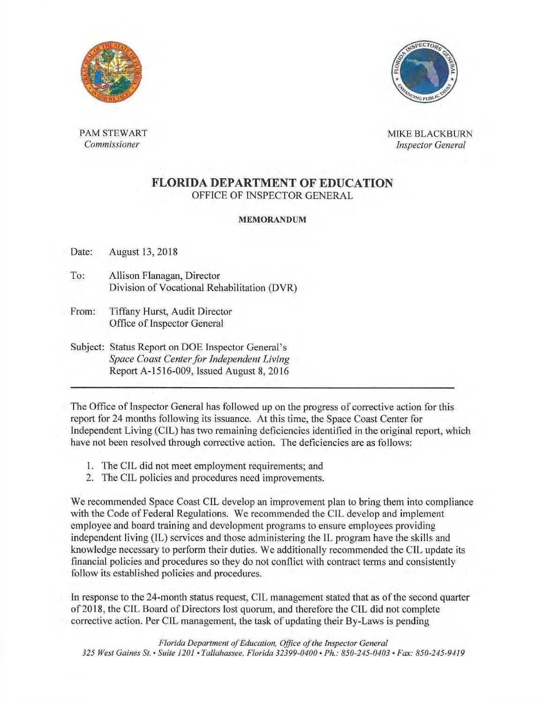



PAM STEWART **MIKE BLACKBURN** *Commissioner Inspector General* 

## **FLORIDA DEPARTMENT OF EDUCATION**  OFFICE OF INSPECTOR GENERAL

## MEMORANDUM

Date: August 13, 2018

- To: Allison Flanagan, Director Division of Vocational Rehabilitation (DVR)
- From: Tiffany Hurst, Audit Director Office of Inspector General
- Subject: Status Report on DOE Inspector General's *Space Coast Center for Independent Living*  Report A-1516-009, Issued August 8, 2016

The Office of Inspector General has followed up on the progress of corrective action for this report for 24 months following its issuance. At this time, the Space Coast Center for fndependent Living (CIL) has two remaining deficiencies identified in the original report, which have not been resolved through corrective action. The deficiencies are as follows:

- 1. The CIL did not meet employment requirements; and
- 2. The CIL policies and procedures need improvements.

We recommended Space Coast CIL develop an improvement plan to bring them into compliance with the Code of Federal Regulations. We recommended the CIL develop and implement employee and board training and development programs to ensure employees providing independent living (IL) services and those administering the IL program have the skills and knowledge necessary to perform their duties. We additionally recommended the CIL update its financial policies and procedures so they do not conflict with contract terms and consistently follow its established policies and procedures.

In response to the 24-month status request, CIL management stated that as of the second quarter of2018, the CTL Board ofDirectors lost quorum, and therefore the CTL did not complete corrective action. Per CIL management, the task of updating their By-Laws is pending

Florida Department of Education, Office of the Inspector General *325 West Gaines St. • Suite 1201 •Tallahassee, Florida 32399-0400 •Ph.: 850-245-0403 •Fax: 850-245-9419*